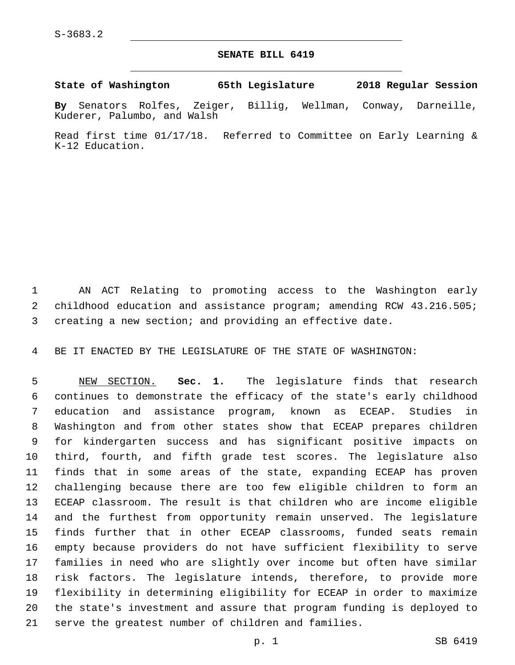## **SENATE BILL 6419**

**State of Washington 65th Legislature 2018 Regular Session**

**By** Senators Rolfes, Zeiger, Billig, Wellman, Conway, Darneille, Kuderer, Palumbo, and Walsh

Read first time 01/17/18. Referred to Committee on Early Learning & K-12 Education.

 AN ACT Relating to promoting access to the Washington early childhood education and assistance program; amending RCW 43.216.505; creating a new section; and providing an effective date.

BE IT ENACTED BY THE LEGISLATURE OF THE STATE OF WASHINGTON:

 NEW SECTION. **Sec. 1.** The legislature finds that research continues to demonstrate the efficacy of the state's early childhood education and assistance program, known as ECEAP. Studies in Washington and from other states show that ECEAP prepares children for kindergarten success and has significant positive impacts on third, fourth, and fifth grade test scores. The legislature also finds that in some areas of the state, expanding ECEAP has proven challenging because there are too few eligible children to form an ECEAP classroom. The result is that children who are income eligible and the furthest from opportunity remain unserved. The legislature finds further that in other ECEAP classrooms, funded seats remain empty because providers do not have sufficient flexibility to serve families in need who are slightly over income but often have similar risk factors. The legislature intends, therefore, to provide more flexibility in determining eligibility for ECEAP in order to maximize the state's investment and assure that program funding is deployed to serve the greatest number of children and families.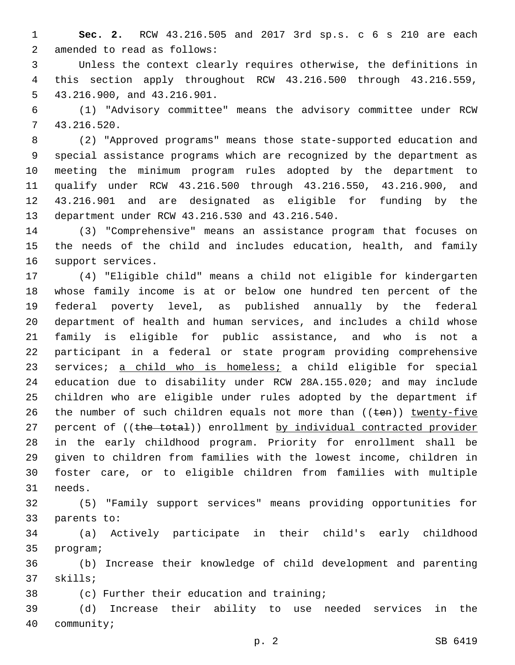**Sec. 2.** RCW 43.216.505 and 2017 3rd sp.s. c 6 s 210 are each 2 amended to read as follows:

 Unless the context clearly requires otherwise, the definitions in this section apply throughout RCW 43.216.500 through 43.216.559, 5 43.216.900, and 43.216.901.

 (1) "Advisory committee" means the advisory committee under RCW 43.216.520.7

 (2) "Approved programs" means those state-supported education and special assistance programs which are recognized by the department as meeting the minimum program rules adopted by the department to qualify under RCW 43.216.500 through 43.216.550, 43.216.900, and 43.216.901 and are designated as eligible for funding by the 13 department under RCW 43.216.530 and 43.216.540.

 (3) "Comprehensive" means an assistance program that focuses on the needs of the child and includes education, health, and family 16 support services.

 (4) "Eligible child" means a child not eligible for kindergarten whose family income is at or below one hundred ten percent of the federal poverty level, as published annually by the federal department of health and human services, and includes a child whose family is eligible for public assistance, and who is not a participant in a federal or state program providing comprehensive 23 services; a child who is homeless; a child eligible for special education due to disability under RCW 28A.155.020; and may include children who are eligible under rules adopted by the department if 26 the number of such children equals not more than  $((\text{ten}))$  twenty-five 27 percent of ((the total)) enrollment by individual contracted provider in the early childhood program. Priority for enrollment shall be given to children from families with the lowest income, children in foster care, or to eligible children from families with multiple 31 needs.

 (5) "Family support services" means providing opportunities for 33 parents to:

 (a) Actively participate in their child's early childhood 35 program;

 (b) Increase their knowledge of child development and parenting 37 skills;

38 (c) Further their education and training;

 (d) Increase their ability to use needed services in the 40 community;